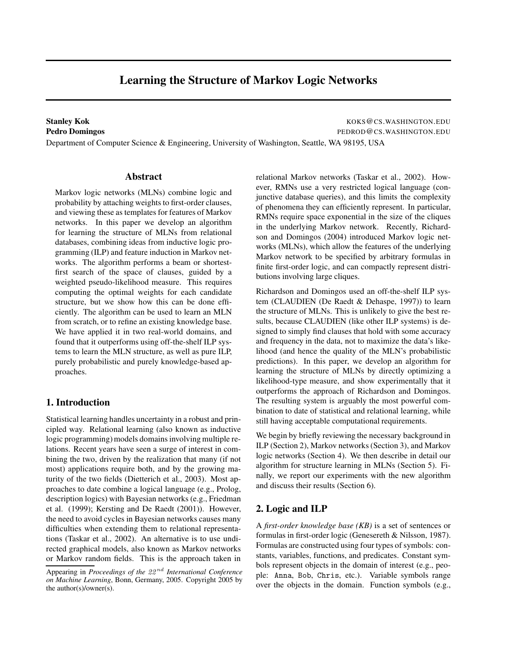# **Learning the Structure of Markov Logic Networks**

**Stanley Kok** KOKS @CS.WASHINGTON.EDU **Pedro Domingos** PEDROD@CS.WASHINGTON.EDU

Department of Computer Science & Engineering, University of Washington, Seattle, WA 98195, USA

# **Abstract**

Markov logic networks (MLNs) combine logic and probability by attaching weights to first-order clauses, and viewing these as templates for features of Markov networks. In this paper we develop an algorithm for learning the structure of MLNs from relational databases, combining ideas from inductive logic programming (ILP) and feature induction in Markov networks. The algorithm performs a beam or shortestfirst search of the space of clauses, guided by a weighted pseudo-likelihood measure. This requires computing the optimal weights for each candidate structure, but we show how this can be done efficiently. The algorithm can be used to learn an MLN from scratch, or to refine an existing knowledge base. We have applied it in two real-world domains, and found that it outperforms using off-the-shelf ILP systems to learn the MLN structure, as well as pure ILP, purely probabilistic and purely knowledge-based approaches.

# **1. Introduction**

Statistical learning handles uncertainty in a robust and principled way. Relational learning (also known as inductive logic programming) models domains involving multiple relations. Recent years have seen a surge of interest in combining the two, driven by the realization that many (if not most) applications require both, and by the growing maturity of the two fields (Dietterich et al., 2003). Most approaches to date combine a logical language (e.g., Prolog, description logics) with Bayesian networks (e.g., Friedman et al. (1999); Kersting and De Raedt (2001)). However, the need to avoid cycles in Bayesian networks causes many difficulties when extending them to relational representations (Taskar et al., 2002). An alternative is to use undirected graphical models, also known as Markov networks or Markov random fields. This is the approach taken in

relational Markov networks (Taskar et al., 2002). However, RMNs use a very restricted logical language (conjunctive database queries), and this limits the complexity of phenomena they can efficiently represent. In particular, RMNs require space exponential in the size of the cliques in the underlying Markov network. Recently, Richardson and Domingos (2004) introduced Markov logic networks (MLNs), which allow the features of the underlying Markov network to be specified by arbitrary formulas in finite first-order logic, and can compactly represent distributions involving large cliques.

Richardson and Domingos used an off-the-shelf ILP system (CLAUDIEN (De Raedt & Dehaspe, 1997)) to learn the structure of MLNs. This is unlikely to give the best results, because CLAUDIEN (like other ILP systems) is designed to simply find clauses that hold with some accuracy and frequency in the data, not to maximize the data's likelihood (and hence the quality of the MLN's probabilistic predictions). In this paper, we develop an algorithm for learning the structure of MLNs by directly optimizing a likelihood-type measure, and show experimentally that it outperforms the approach of Richardson and Domingos. The resulting system is arguably the most powerful combination to date of statistical and relational learning, while still having acceptable computational requirements.

We begin by briefly reviewing the necessary background in ILP (Section 2), Markov networks (Section 3), and Markov logic networks (Section 4). We then describe in detail our algorithm for structure learning in MLNs (Section 5). Finally, we report our experiments with the new algorithm and discuss their results (Section 6).

# **2. Logic and ILP**

A *first-order knowledge base (KB)* is a set of sentences or formulas in first-order logic (Genesereth & Nilsson, 1987). Formulas are constructed using four types of symbols: constants, variables, functions, and predicates. Constant symbols represent objects in the domain of interest (e.g., people: Anna, Bob, Chris, etc.). Variable symbols range over the objects in the domain. Function symbols (e.g.,

Appearing in *Proceedings of the* 22 nd *International Conference on Machine Learning*, Bonn, Germany, 2005. Copyright 2005 by the author(s)/owner(s).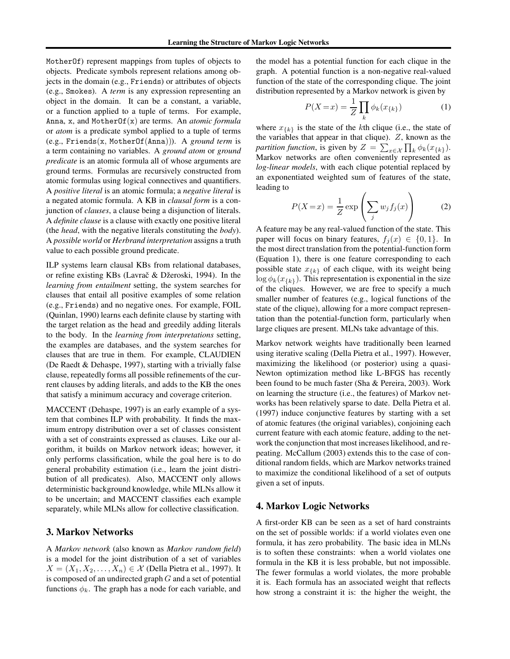MotherOf) represent mappings from tuples of objects to objects. Predicate symbols represent relations among objects in the domain (e.g., Friends) or attributes of objects (e.g., Smokes). A *term* is any expression representing an object in the domain. It can be a constant, a variable, or a function applied to a tuple of terms. For example, Anna, x, and MotherOf(x) are terms. An *atomic formula* or *atom* is a predicate symbol applied to a tuple of terms (e.g., Friends(x, MotherOf(Anna))). A *ground term* is a term containing no variables. A *ground atom* or *ground predicate* is an atomic formula all of whose arguments are ground terms. Formulas are recursively constructed from atomic formulas using logical connectives and quantifiers. A *positive literal* is an atomic formula; a *negative literal* is a negated atomic formula. A KB in *clausal form* is a conjunction of *clauses*, a clause being a disjunction of literals. A *definite clause* is a clause with exactly one positive literal (the *head*, with the negative literals constituting the *body*). A *possible world* or *Herbrand interpretation* assigns a truth value to each possible ground predicate.

ILP systems learn clausal KBs from relational databases, or refine existing KBs (Lavrač & Džeroski, 1994). In the *learning from entailment* setting, the system searches for clauses that entail all positive examples of some relation (e.g., Friends) and no negative ones. For example, FOIL (Quinlan, 1990) learns each definite clause by starting with the target relation as the head and greedily adding literals to the body. In the *learning from interpretations* setting, the examples are databases, and the system searches for clauses that are true in them. For example, CLAUDIEN (De Raedt & Dehaspe, 1997), starting with a trivially false clause, repeatedly forms all possible refinements of the current clauses by adding literals, and adds to the KB the ones that satisfy a minimum accuracy and coverage criterion.

MACCENT (Dehaspe, 1997) is an early example of a system that combines ILP with probability. It finds the maximum entropy distribution over a set of classes consistent with a set of constraints expressed as clauses. Like our algorithm, it builds on Markov network ideas; however, it only performs classification, while the goal here is to do general probability estimation (i.e., learn the joint distribution of all predicates). Also, MACCENT only allows deterministic background knowledge, while MLNs allow it to be uncertain; and MACCENT classifies each example separately, while MLNs allow for collective classification.

# **3. Markov Networks**

A *Markov network* (also known as *Markov random field*) is a model for the joint distribution of a set of variables  $X = (X_1, X_2, \ldots, X_n) \in \mathcal{X}$  (Della Pietra et al., 1997). It is composed of an undirected graph  $G$  and a set of potential functions  $\phi_k$ . The graph has a node for each variable, and the model has a potential function for each clique in the graph. A potential function is a non-negative real-valued function of the state of the corresponding clique. The joint distribution represented by a Markov network is given by

$$
P(X=x) = \frac{1}{Z} \prod_{k} \phi_k(x_{\{k\}})
$$
 (1)

where  $x_{\{k\}}$  is the state of the kth clique (i.e., the state of the variables that appear in that clique).  $Z$ , known as the *partition function*, is given by  $Z = \sum_{x \in \mathcal{X}} \prod_k \phi_k(x_{\{k\}})$ . Markov networks are often conveniently represented as *log-linear models*, with each clique potential replaced by an exponentiated weighted sum of features of the state, leading to

$$
P(X=x) = \frac{1}{Z} \exp\left(\sum_{j} w_j f_j(x)\right) \tag{2}
$$

A feature may be any real-valued function of the state. This paper will focus on binary features,  $f_i(x) \in \{0, 1\}$ . In the most direct translation from the potential-function form (Equation 1), there is one feature corresponding to each possible state  $x_{\{k\}}$  of each clique, with its weight being  $\log \phi_k(x_{\{k\}})$ . This representation is exponential in the size of the cliques. However, we are free to specify a much smaller number of features (e.g., logical functions of the state of the clique), allowing for a more compact representation than the potential-function form, particularly when large cliques are present. MLNs take advantage of this.

Markov network weights have traditionally been learned using iterative scaling (Della Pietra et al., 1997). However, maximizing the likelihood (or posterior) using a quasi-Newton optimization method like L-BFGS has recently been found to be much faster (Sha & Pereira, 2003). Work on learning the structure (i.e., the features) of Markov networks has been relatively sparse to date. Della Pietra et al. (1997) induce conjunctive features by starting with a set of atomic features (the original variables), conjoining each current feature with each atomic feature, adding to the network the conjunction that most increases likelihood, and repeating. McCallum (2003) extends this to the case of conditional random fields, which are Markov networks trained to maximize the conditional likelihood of a set of outputs given a set of inputs.

# **4. Markov Logic Networks**

A first-order KB can be seen as a set of hard constraints on the set of possible worlds: if a world violates even one formula, it has zero probability. The basic idea in MLNs is to soften these constraints: when a world violates one formula in the KB it is less probable, but not impossible. The fewer formulas a world violates, the more probable it is. Each formula has an associated weight that reflects how strong a constraint it is: the higher the weight, the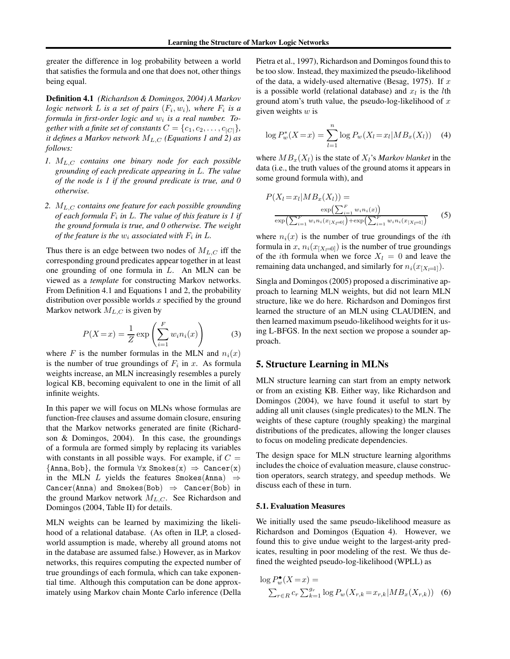greater the difference in log probability between a world that satisfies the formula and one that does not, other things being equal.

**Definition 4.1** *(Richardson & Domingos, 2004) A Markov logic* network L is a set of pairs  $(F_i, w_i)$ , where  $F_i$  is a *formula in first-order logic and* w<sup>i</sup> *is a real number. Together with a finite set of constants*  $C = \{c_1, c_2, \ldots, c_{|C|}\},\$ *it defines a Markov network*  $M_{L,C}$  *(Equations 1 and 2) as follows:*

- *1.* ML,C *contains one binary node for each possible grounding of each predicate appearing in* L*. The value of the node is 1 if the ground predicate is true, and 0 otherwise.*
- *2.* ML,C *contains one feature for each possible grounding of each formula* F<sup>i</sup> *in* L*. The value of this feature is 1 if the ground formula is true, and 0 otherwise. The weight of the feature is the*  $w_i$  *associated with*  $F_i$  *in*  $L$ *.*

Thus there is an edge between two nodes of  $M_{L,C}$  iff the corresponding ground predicates appear together in at least one grounding of one formula in L. An MLN can be viewed as a *template* for constructing Markov networks. From Definition 4.1 and Equations 1 and 2, the probability distribution over possible worlds  $x$  specified by the ground Markov network  $M_{L,C}$  is given by

$$
P(X=x) = \frac{1}{Z} \exp\left(\sum_{i=1}^{F} w_i n_i(x)\right) \tag{3}
$$

where F is the number formulas in the MLN and  $n_i(x)$ is the number of true groundings of  $F_i$  in x. As formula weights increase, an MLN increasingly resembles a purely logical KB, becoming equivalent to one in the limit of all infinite weights.

In this paper we will focus on MLNs whose formulas are function-free clauses and assume domain closure, ensuring that the Markov networks generated are finite (Richardson & Domingos, 2004). In this case, the groundings of a formula are formed simply by replacing its variables with constants in all possible ways. For example, if  $C =$  ${\text{Anna, Bob}}$ , the formula  $\forall x \; \text{Smokes}(x) \Rightarrow \text{ Cancer}(x)$ in the MLN L yields the features Smokes(Anna)  $\Rightarrow$ Cancer(Anna) and Smokes(Bob)  $\Rightarrow$  Cancer(Bob) in the ground Markov network  $M_{L,C}$ . See Richardson and Domingos (2004, Table II) for details.

MLN weights can be learned by maximizing the likelihood of a relational database. (As often in ILP, a closedworld assumption is made, whereby all ground atoms not in the database are assumed false.) However, as in Markov networks, this requires computing the expected number of true groundings of each formula, which can take exponential time. Although this computation can be done approximately using Markov chain Monte Carlo inference (Della

Pietra et al., 1997), Richardson and Domingos found this to be too slow. Instead, they maximized the pseudo-likelihood of the data, a widely-used alternative (Besag, 1975). If  $x$ is a possible world (relational database) and  $x_l$  is the *l*th ground atom's truth value, the pseudo-log-likelihood of  $x$ given weights  $w$  is

$$
\log P_w^*(X = x) = \sum_{l=1}^n \log P_w(X_l = x_l | MB_x(X_l)) \quad (4)
$$

where  $MB_x(X_l)$  is the state of  $X_l$ 's *Markov blanket* in the data (i.e., the truth values of the ground atoms it appears in some ground formula with), and

$$
P(X_l = x_l | MB_x(X_l)) = \frac{\exp\left(\sum_{i=1}^F w_i n_i(x)\right)}{\exp\left(\sum_{i=1}^F w_i n_i(x_{[X_l=0]}\right) + \exp\left(\sum_{i=1}^F w_i n_i(x_{[X_l=1]}\right)}
$$
(5)

where  $n_i(x)$  is the number of true groundings of the *i*th formula in x,  $n_i(x_{[X_i=0]})$  is the number of true groundings of the *i*th formula when we force  $X_l = 0$  and leave the remaining data unchanged, and similarly for  $n_i(x_{[X_i=1]})$ .

Singla and Domingos (2005) proposed a discriminative approach to learning MLN weights, but did not learn MLN structure, like we do here. Richardson and Domingos first learned the structure of an MLN using CLAUDIEN, and then learned maximum pseudo-likelihood weights for it using L-BFGS. In the next section we propose a sounder approach.

## **5. Structure Learning in MLNs**

MLN structure learning can start from an empty network or from an existing KB. Either way, like Richardson and Domingos (2004), we have found it useful to start by adding all unit clauses (single predicates) to the MLN. The weights of these capture (roughly speaking) the marginal distributions of the predicates, allowing the longer clauses to focus on modeling predicate dependencies.

The design space for MLN structure learning algorithms includes the choice of evaluation measure, clause construction operators, search strategy, and speedup methods. We discuss each of these in turn.

#### **5.1. Evaluation Measures**

We initially used the same pseudo-likelihood measure as Richardson and Domingos (Equation 4). However, we found this to give undue weight to the largest-arity predicates, resulting in poor modeling of the rest. We thus defined the weighted pseudo-log-likelihood (WPLL) as

$$
\log P_{w}^{\bullet}(X=x) =
$$
  
 
$$
\sum_{r \in R} c_{r} \sum_{k=1}^{g_{r}} \log P_{w}(X_{r,k}=x_{r,k}|MB_{x}(X_{r,k}))
$$
 (6)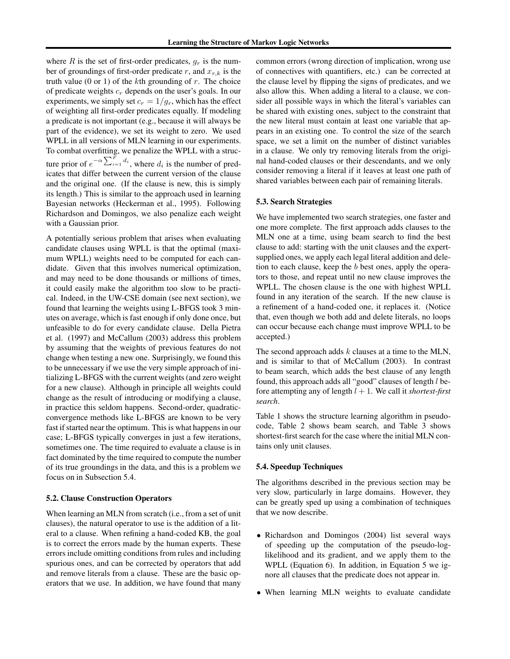where R is the set of first-order predicates,  $q_r$  is the number of groundings of first-order predicate r, and  $x_{r,k}$  is the truth value (0 or 1) of the  $k$ th grounding of  $r$ . The choice of predicate weights  $c_r$  depends on the user's goals. In our experiments, we simply set  $c_r = 1/g_r$ , which has the effect of weighting all first-order predicates equally. If modeling a predicate is not important (e.g., because it will always be part of the evidence), we set its weight to zero. We used WPLL in all versions of MLN learning in our experiments. To combat overfitting, we penalize the WPLL with a structure prior of  $e^{-\alpha \sum_{i=1}^{F} d_i}$ , where  $d_i$  is the number of predicates that differ between the current version of the clause and the original one. (If the clause is new, this is simply its length.) This is similar to the approach used in learning Bayesian networks (Heckerman et al., 1995). Following Richardson and Domingos, we also penalize each weight with a Gaussian prior.

A potentially serious problem that arises when evaluating candidate clauses using WPLL is that the optimal (maximum WPLL) weights need to be computed for each candidate. Given that this involves numerical optimization, and may need to be done thousands or millions of times, it could easily make the algorithm too slow to be practical. Indeed, in the UW-CSE domain (see next section), we found that learning the weights using L-BFGS took 3 minutes on average, which is fast enough if only done once, but unfeasible to do for every candidate clause. Della Pietra et al. (1997) and McCallum (2003) address this problem by assuming that the weights of previous features do not change when testing a new one. Surprisingly, we found this to be unnecessary if we use the very simple approach of initializing L-BFGS with the current weights (and zero weight for a new clause). Although in principle all weights could change as the result of introducing or modifying a clause, in practice this seldom happens. Second-order, quadraticconvergence methods like L-BFGS are known to be very fast if started near the optimum. This is what happens in our case; L-BFGS typically converges in just a few iterations, sometimes one. The time required to evaluate a clause is in fact dominated by the time required to compute the number of its true groundings in the data, and this is a problem we focus on in Subsection 5.4.

#### **5.2. Clause Construction Operators**

When learning an MLN from scratch (i.e., from a set of unit clauses), the natural operator to use is the addition of a literal to a clause. When refining a hand-coded KB, the goal is to correct the errors made by the human experts. These errors include omitting conditions from rules and including spurious ones, and can be corrected by operators that add and remove literals from a clause. These are the basic operators that we use. In addition, we have found that many

common errors (wrong direction of implication, wrong use of connectives with quantifiers, etc.) can be corrected at the clause level by flipping the signs of predicates, and we also allow this. When adding a literal to a clause, we consider all possible ways in which the literal's variables can be shared with existing ones, subject to the constraint that the new literal must contain at least one variable that appears in an existing one. To control the size of the search space, we set a limit on the number of distinct variables in a clause. We only try removing literals from the original hand-coded clauses or their descendants, and we only consider removing a literal if it leaves at least one path of shared variables between each pair of remaining literals.

### **5.3. Search Strategies**

We have implemented two search strategies, one faster and one more complete. The first approach adds clauses to the MLN one at a time, using beam search to find the best clause to add: starting with the unit clauses and the expertsupplied ones, we apply each legal literal addition and deletion to each clause, keep the b best ones, apply the operators to those, and repeat until no new clause improves the WPLL. The chosen clause is the one with highest WPLL found in any iteration of the search. If the new clause is a refinement of a hand-coded one, it replaces it. (Notice that, even though we both add and delete literals, no loops can occur because each change must improve WPLL to be accepted.)

The second approach adds  $k$  clauses at a time to the MLN, and is similar to that of McCallum (2003). In contrast to beam search, which adds the best clause of any length found, this approach adds all "good" clauses of length l before attempting any of length  $l + 1$ . We call it *shortest-first search*.

Table 1 shows the structure learning algorithm in pseudocode, Table 2 shows beam search, and Table 3 shows shortest-first search for the case where the initial MLN contains only unit clauses.

#### **5.4. Speedup Techniques**

The algorithms described in the previous section may be very slow, particularly in large domains. However, they can be greatly sped up using a combination of techniques that we now describe.

- Richardson and Domingos (2004) list several ways of speeding up the computation of the pseudo-loglikelihood and its gradient, and we apply them to the WPLL (Equation 6). In addition, in Equation 5 we ignore all clauses that the predicate does not appear in.
- When learning MLN weights to evaluate candidate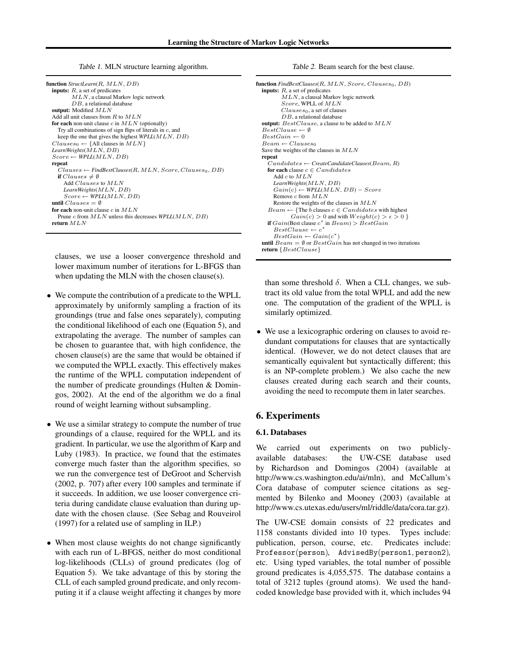Table 1. MLN structure learning algorithm.

| <b>function</b> $StructLearn(R, MLN, DB)$                         |
|-------------------------------------------------------------------|
| <b>inputs:</b> $R$ , a set of predicates                          |
| $MLN$ , a clausal Markov logic network                            |
| $DB$ , a relational database                                      |
| output: Modified $MLN$                                            |
| Add all unit clauses from $R$ to $MLN$                            |
| for each non-unit clause c in $MLN$ (optionally)                  |
| Try all combinations of sign flips of literals in $c$ , and       |
| keep the one that gives the highest $WPLL(MLN, DB)$               |
| $Clauses_0 \leftarrow \{All clauses in MIN\}$                     |
| LearnWeights (MLN, DB)                                            |
| $Score \leftarrow \text{WPLL}(MLN, DB)$                           |
| repeat                                                            |
| $Clauses \leftarrow FindBestClauses(R,MLN, Score, Clauses_0, DB)$ |
| if Clauses $\neq \emptyset$                                       |
| Add Clauses to MLN                                                |
| LearnWeights (MLN, DB)                                            |
| $Score \leftarrow \text{WPLL}(MLN, DB)$                           |
| until $Clauses = \emptyset$                                       |
| for each non-unit clause $c$ in $MLN$                             |
| Prune c from $MLN$ unless this decreases $WPLL(MLN, DB)$          |
| return $MLN$                                                      |
|                                                                   |

clauses, we use a looser convergence threshold and lower maximum number of iterations for L-BFGS than when updating the MLN with the chosen clause(s).

- We compute the contribution of a predicate to the WPLL approximately by uniformly sampling a fraction of its groundings (true and false ones separately), computing the conditional likelihood of each one (Equation 5), and extrapolating the average. The number of samples can be chosen to guarantee that, with high confidence, the chosen clause(s) are the same that would be obtained if we computed the WPLL exactly. This effectively makes the runtime of the WPLL computation independent of the number of predicate groundings (Hulten & Domingos, 2002). At the end of the algorithm we do a final round of weight learning without subsampling.
- We use a similar strategy to compute the number of true groundings of a clause, required for the WPLL and its gradient. In particular, we use the algorithm of Karp and Luby (1983). In practice, we found that the estimates converge much faster than the algorithm specifies, so we run the convergence test of DeGroot and Schervish (2002, p. 707) after every 100 samples and terminate if it succeeds. In addition, we use looser convergence criteria during candidate clause evaluation than during update with the chosen clause. (See Sebag and Rouveirol (1997) for a related use of sampling in ILP.)
- When most clause weights do not change significantly with each run of L-BFGS, neither do most conditional log-likelihoods (CLLs) of ground predicates (log of Equation 5). We take advantage of this by storing the CLL of each sampled ground predicate, and only recomputing it if a clause weight affecting it changes by more

Table 2. Beam search for the best clause.

```
function FindBestClasses(R, MLN, Score, Clauses_0, DB)inputs: R, a set of predicates
        MLN, a clausal Markov logic network
        Score, WPLL of MLN
        Clauses_0, a set of clauses
        D<sub>B</sub>, a relational database
output: BestClause, a clause to be added to MLN
BestClause \leftarrow \emptysetBestGain \leftarrow 0Beam \leftarrow Clauses_0Save the weights of the clauses in MLNrepeat
   Candidates ← CreateCandidateClauses(Beam, R)
  for each clause c \in CandidatesAdd c to MLNLearnWeights(MLN, DB)
     Gain(c) \leftarrow \text{WPLL}(MLN, DB) - ScoreRemove c from MLN
     Restore the weights of the clauses in MLN
   Beam \leftarrow {The \space b \space clauses \space c \in Candidates \space with \space highest}Gain(c) > 0 and with Weight(c) > \epsilon > 0if Gain(Best \text{ clause } c^* \text{ in } Bean) > BestGainBestClause \leftarrow c^*BestGain \leftarrow Gain(c^*)until Beam = \emptyset or BestGain has not changed in two iterations
return {BestClause}
```
than some threshold  $\delta$ . When a CLL changes, we subtract its old value from the total WPLL and add the new one. The computation of the gradient of the WPLL is similarly optimized.

We use a lexicographic ordering on clauses to avoid redundant computations for clauses that are syntactically identical. (However, we do not detect clauses that are semantically equivalent but syntactically different; this is an NP-complete problem.) We also cache the new clauses created during each search and their counts, avoiding the need to recompute them in later searches.

# **6. Experiments**

#### **6.1. Databases**

We carried out experiments on two publiclyavailable databases: the UW-CSE database used by Richardson and Domingos (2004) (available at http://www.cs.washington.edu/ai/mln), and McCallum's Cora database of computer science citations as segmented by Bilenko and Mooney (2003) (available at http://www.cs.utexas.edu/users/ml/riddle/data/cora.tar.gz).

The UW-CSE domain consists of 22 predicates and 1158 constants divided into 10 types. Types include: publication, person, course, etc. Predicates include: Professor(person), AdvisedBy(person1, person2), etc. Using typed variables, the total number of possible ground predicates is 4,055,575. The database contains a total of 3212 tuples (ground atoms). We used the handcoded knowledge base provided with it, which includes 94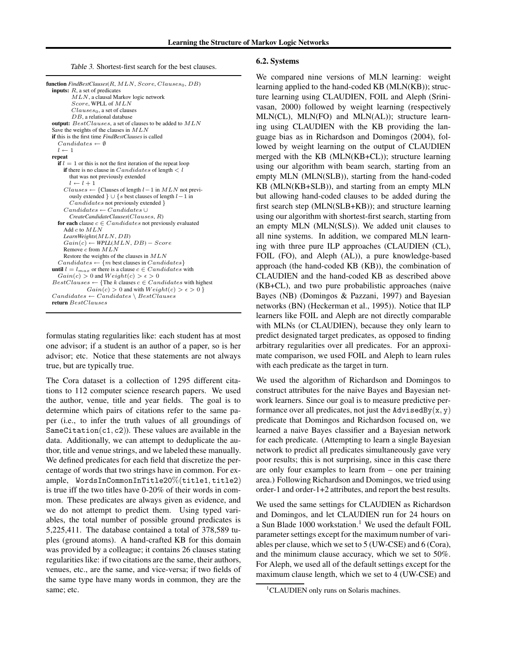Table 3. Shortest-first search for the best clauses.

| <b>function</b> FindBestClauses( $R$ , $MLN$ , Score, Clauses <sub>0</sub> , DB)                   |
|----------------------------------------------------------------------------------------------------|
| <b>inputs:</b> $R$ , a set of predicates                                                           |
| $MLN$ , a clausal Markov logic network                                                             |
| Score, WPLL of $MLN$                                                                               |
| $Clauses_0$ , a set of clauses                                                                     |
| $DB$ , a relational database                                                                       |
| <b>output:</b> $BestClasses$ , a set of clauses to be added to $MLN$                               |
| Save the weights of the clauses in $MLN$                                                           |
| <b>if</b> this is the first time <i>FindBestClauses</i> is called                                  |
| $Candidates \leftarrow \emptyset$                                                                  |
| $l \leftarrow 1$                                                                                   |
| repeat                                                                                             |
| if $l = 1$ or this is not the first iteration of the repeat loop                                   |
| <b>if</b> there is no clause in $Candidates$ of length $\lt l$                                     |
| that was not previously extended                                                                   |
| $l \leftarrow l + 1$                                                                               |
| $Classes \leftarrow$ {Clauses of length $l-1$ in $MLN$ not previ-                                  |
| ously extended $\} \cup \{s \text{ best clauses of length } l-1 \text{ in } \}$                    |
| <i>Candidates</i> not previously extended }                                                        |
| $C and idates \leftarrow C and idates \cup$                                                        |
| Create Candidate Clauses (Clauses, R)                                                              |
| for each clause $c \in Candidates$ not previously evaluated                                        |
| Add $c$ to $MLN$                                                                                   |
| LearnWeights (MLN, DB)                                                                             |
| $Gain(c) \leftarrow \text{WPLL}(MLN, DB) - Score$                                                  |
| Remove $c$ from $MLN$                                                                              |
| Restore the weights of the clauses in $MLN$                                                        |
| $Candidates \leftarrow \{m \text{ best clauses in } Candidates\}$                                  |
| <b>until</b> $l = l_{max}$ or there is a clause $c \in Candidates$ with                            |
| $Gain(c) > 0$ and $Weight(c) > \epsilon > 0$                                                       |
| $BestClasses \leftarrow \{\text{The } k \text{ clauses } c \in Candidates \text{ with highest}\}\$ |
| $Gain(c) > 0$ and with $Weight(c) > \epsilon > 0$ }                                                |
| $C and idates \leftarrow C and idates \setminus BestClasses$                                       |
| return BestClauses                                                                                 |
|                                                                                                    |

formulas stating regularities like: each student has at most one advisor; if a student is an author of a paper, so is her advisor; etc. Notice that these statements are not always true, but are typically true.

The Cora dataset is a collection of 1295 different citations to 112 computer science research papers. We used the author, venue, title and year fields. The goal is to determine which pairs of citations refer to the same paper (i.e., to infer the truth values of all groundings of SameCitation(c1, c2)). These values are available in the data. Additionally, we can attempt to deduplicate the author, title and venue strings, and we labeled these manually. We defined predicates for each field that discretize the percentage of words that two strings have in common. For example, WordsInCommonInTitle20%(title1, title2) is true iff the two titles have 0-20% of their words in common. These predicates are always given as evidence, and we do not attempt to predict them. Using typed variables, the total number of possible ground predicates is 5,225,411. The database contained a total of 378,589 tuples (ground atoms). A hand-crafted KB for this domain was provided by a colleague; it contains 26 clauses stating regularities like: if two citations are the same, their authors, venues, etc., are the same, and vice-versa; if two fields of the same type have many words in common, they are the same; etc.

#### **6.2. Systems**

We compared nine versions of MLN learning: weight learning applied to the hand-coded KB (MLN(KB)); structure learning using CLAUDIEN, FOIL and Aleph (Srinivasan, 2000) followed by weight learning (respectively MLN(CL), MLN(FO) and MLN(AL)); structure learning using CLAUDIEN with the KB providing the language bias as in Richardson and Domingos (2004), followed by weight learning on the output of CLAUDIEN merged with the KB (MLN(KB+CL)); structure learning using our algorithm with beam search, starting from an empty MLN (MLN(SLB)), starting from the hand-coded KB (MLN(KB+SLB)), and starting from an empty MLN but allowing hand-coded clauses to be added during the first search step (MLN(SLB+KB)); and structure learning using our algorithm with shortest-first search, starting from an empty MLN (MLN(SLS)). We added unit clauses to all nine systems. In addition, we compared MLN learning with three pure ILP approaches (CLAUDIEN (CL), FOIL (FO), and Aleph (AL)), a pure knowledge-based approach (the hand-coded KB (KB)), the combination of CLAUDIEN and the hand-coded KB as described above (KB+CL), and two pure probabilistic approaches (naive Bayes (NB) (Domingos & Pazzani, 1997) and Bayesian networks (BN) (Heckerman et al., 1995)). Notice that ILP learners like FOIL and Aleph are not directly comparable with MLNs (or CLAUDIEN), because they only learn to predict designated target predicates, as opposed to finding arbitrary regularities over all predicates. For an approximate comparison, we used FOIL and Aleph to learn rules with each predicate as the target in turn.

We used the algorithm of Richardson and Domingos to construct attributes for the naive Bayes and Bayesian network learners. Since our goal is to measure predictive performance over all predicates, not just the AdvisedBy $(x, y)$ predicate that Domingos and Richardson focused on, we learned a naive Bayes classifier and a Bayesian network for each predicate. (Attempting to learn a single Bayesian network to predict all predicates simultaneously gave very poor results; this is not surprising, since in this case there are only four examples to learn from – one per training area.) Following Richardson and Domingos, we tried using order-1 and order-1+2 attributes, and report the best results.

We used the same settings for CLAUDIEN as Richardson and Domingos, and let CLAUDIEN run for 24 hours on a Sun Blade 1000 workstation.<sup>1</sup> We used the default FOIL parameter settings except for the maximum number of variables per clause, which we set to 5 (UW-CSE) and 6 (Cora), and the minimum clause accuracy, which we set to 50%. For Aleph, we used all of the default settings except for the maximum clause length, which we set to 4 (UW-CSE) and

<sup>&</sup>lt;sup>1</sup>CLAUDIEN only runs on Solaris machines.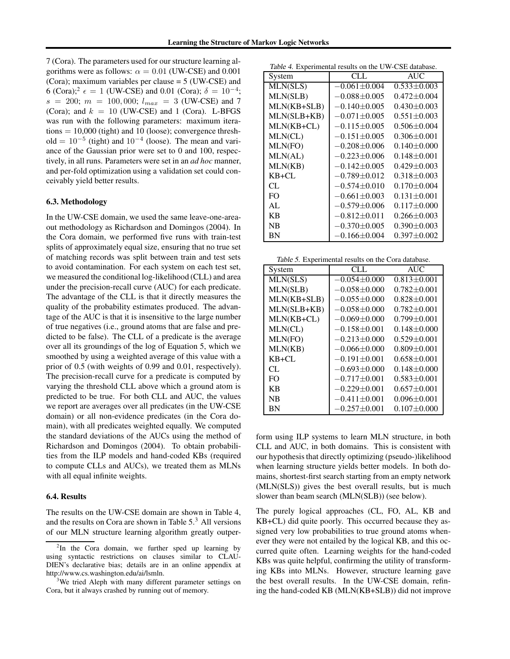7 (Cora). The parameters used for our structure learning algorithms were as follows:  $\alpha = 0.01$  (UW-CSE) and 0.001 (Cora); maximum variables per clause = 5 (UW-CSE) and 6 (Cora);<sup>2</sup>  $\epsilon = 1$  (UW-CSE) and 0.01 (Cora);  $\delta = 10^{-4}$ ;  $s = 200$ ;  $m = 100,000$ ;  $l_{max} = 3$  (UW-CSE) and 7 (Cora); and  $k = 10$  (UW-CSE) and 1 (Cora). L-BFGS was run with the following parameters: maximum itera $tions = 10,000$  (tight) and 10 (loose); convergence threshold =  $10^{-5}$  (tight) and  $10^{-4}$  (loose). The mean and variance of the Gaussian prior were set to 0 and 100, respectively, in all runs. Parameters were set in an *ad hoc* manner, and per-fold optimization using a validation set could conceivably yield better results.

### **6.3. Methodology**

In the UW-CSE domain, we used the same leave-one-areaout methodology as Richardson and Domingos (2004). In the Cora domain, we performed five runs with train-test splits of approximately equal size, ensuring that no true set of matching records was split between train and test sets to avoid contamination. For each system on each test set, we measured the conditional log-likelihood (CLL) and area under the precision-recall curve (AUC) for each predicate. The advantage of the CLL is that it directly measures the quality of the probability estimates produced. The advantage of the AUC is that it is insensitive to the large number of true negatives (i.e., ground atoms that are false and predicted to be false). The CLL of a predicate is the average over all its groundings of the log of Equation 5, which we smoothed by using a weighted average of this value with a prior of 0.5 (with weights of 0.99 and 0.01, respectively). The precision-recall curve for a predicate is computed by varying the threshold CLL above which a ground atom is predicted to be true. For both CLL and AUC, the values we report are averages over all predicates (in the UW-CSE domain) or all non-evidence predicates (in the Cora domain), with all predicates weighted equally. We computed the standard deviations of the AUCs using the method of Richardson and Domingos (2004). To obtain probabilities from the ILP models and hand-coded KBs (required to compute CLLs and AUCs), we treated them as MLNs with all equal infinite weights.

#### **6.4. Results**

The results on the UW-CSE domain are shown in Table 4, and the results on Cora are shown in Table 5.<sup>3</sup> All versions of our MLN structure learning algorithm greatly outper-

Table 4. Experimental results on the UW-CSE database.

| System      | CLL                | <b>AUC</b>        |
|-------------|--------------------|-------------------|
| MLN(SLS)    | $-0.061 + 0.004$   | $0.533 + 0.003$   |
| MLN(SLB)    | $-0.088 + 0.005$   | $0.472 \pm 0.004$ |
| MLN(KB+SLB) | $-0.140 + 0.005$   | $0.430 + 0.003$   |
| MLN(SLB+KB) | $-0.071 \pm 0.005$ | $0.551 + 0.003$   |
| MLN(KB+CL)  | $-0.115\pm0.005$   | $0.506 \pm 0.004$ |
| MLN(CL)     | $-0.151 + 0.005$   | $0.306 \pm 0.001$ |
| MLN(FO)     | $-0.208 \pm 0.006$ | $0.140 + 0.000$   |
| MLN(AL)     | $-0.223 + 0.006$   | $0.148 + 0.001$   |
| MLN(KB)     | $-0.142 + 0.005$   | $0.429 + 0.003$   |
| $KB+CI$ .   | $-0.789 + 0.012$   | $0.318 + 0.003$   |
| CL          | $-0.574 + 0.010$   | $0.170 \pm 0.004$ |
| FO.         | $-0.661 + 0.003$   | $0.131 \pm 0.001$ |
| AL          | $-0.579 \pm 0.006$ | $0.117 \pm 0.000$ |
| KB          | $-0.812 + 0.011$   | $0.266 \pm 0.003$ |
| NB          | $-0.370 + 0.005$   | $0.390 \pm 0.003$ |
| BN          | $-0.166 \pm 0.004$ | $0.397 \pm 0.002$ |

Table 5. Experimental results on the Cora database.

| System         | CLL                | <b>AUC</b>        |
|----------------|--------------------|-------------------|
| MLN(SLS)       | $-0.054 + 0.000$   | $0.813 + 0.001$   |
| MLN(SLB)       | $-0.058 + 0.000$   | $0.782 \pm 0.001$ |
| MLN(KB+SLB)    | $-0.055\pm0.000$   | $0.828 + 0.001$   |
| MLN(SLB+KB)    | $-0.058 + 0.000$   | $0.782 \pm 0.001$ |
| $MLN(KB+CL)$   | $-0.069 + 0.000$   | $0.799 + 0.001$   |
| MLN(CL)        | $-0.158 + 0.001$   | $0.148 + 0.000$   |
| MLN(FO)        | $-0.213 + 0.000$   | $0.529 + 0.001$   |
| MLN(KB)        | $-0.066 \pm 0.000$ | $0.809 + 0.001$   |
| $KB+CL$        | $-0.191 + 0.001$   | $0.658 + 0.001$   |
| CL.            | $-0.693 + 0.000$   | $0.148 + 0.000$   |
| F <sub>O</sub> | $-0.717 + 0.001$   | $0.583 \pm 0.001$ |
| <b>KB</b>      | $-0.229 + 0.001$   | $0.657 \pm 0.001$ |
| NB             | $-0.411\pm0.001$   | $0.096 \pm 0.001$ |
| <b>BN</b>      | $-0.257 + 0.001$   | $0.107 + 0.000$   |

form using ILP systems to learn MLN structure, in both CLL and AUC, in both domains. This is consistent with our hypothesis that directly optimizing (pseudo-)likelihood when learning structure yields better models. In both domains, shortest-first search starting from an empty network (MLN(SLS)) gives the best overall results, but is much slower than beam search (MLN(SLB)) (see below).

The purely logical approaches (CL, FO, AL, KB and KB+CL) did quite poorly. This occurred because they assigned very low probabilities to true ground atoms whenever they were not entailed by the logical KB, and this occurred quite often. Learning weights for the hand-coded KBs was quite helpful, confirming the utility of transforming KBs into MLNs. However, structure learning gave the best overall results. In the UW-CSE domain, refining the hand-coded KB (MLN(KB+SLB)) did not improve

 ${}^{2}$ In the Cora domain, we further sped up learning by using syntactic restrictions on clauses similar to CLAU-DIEN's declarative bias; details are in an online appendix at http://www.cs.washington.edu/ai/lsmln.

<sup>&</sup>lt;sup>3</sup>We tried Aleph with many different parameter settings on Cora, but it always crashed by running out of memory.